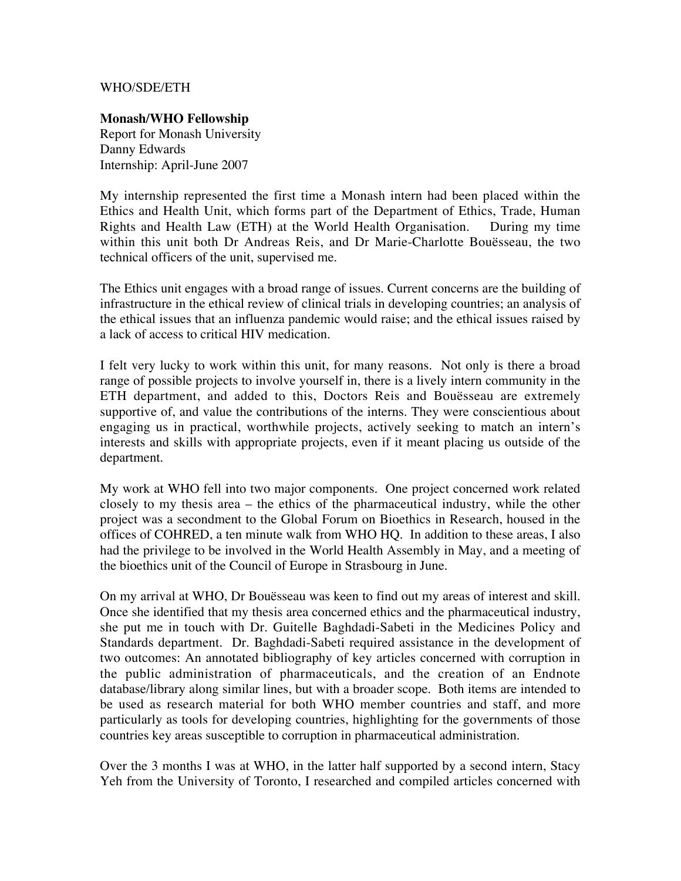## WHO/SDE/ETH

## **Monash/WHO Fellowship**

Report for Monash University Danny Edwards Internship: April-June 2007

My internship represented the first time a Monash intern had been placed within the Ethics and Health Unit, which forms part of the Department of Ethics, Trade, Human Rights and Health Law (ETH) at the World Health Organisation. During my time Rights and Health Law (ETH) at the World Health Organisation. within this unit both Dr Andreas Reis, and Dr Marie-Charlotte Bouësseau, the two technical officers of the unit, supervised me.

The Ethics unit engages with a broad range of issues. Current concerns are the building of infrastructure in the ethical review of clinical trials in developing countries; an analysis of the ethical issues that an influenza pandemic would raise; and the ethical issues raised by a lack of access to critical HIV medication.

I felt very lucky to work within this unit, for many reasons. Not only is there a broad range of possible projects to involve yourself in, there is a lively intern community in the ETH department, and added to this, Doctors Reis and Bouësseau are extremely supportive of, and value the contributions of the interns. They were conscientious about engaging us in practical, worthwhile projects, actively seeking to match an intern's interests and skills with appropriate projects, even if it meant placing us outside of the department.

My work at WHO fell into two major components. One project concerned work related closely to my thesis area – the ethics of the pharmaceutical industry, while the other project was a secondment to the Global Forum on Bioethics in Research, housed in the offices of COHRED, a ten minute walk from WHO HQ. In addition to these areas, I also had the privilege to be involved in the World Health Assembly in May, and a meeting of the bioethics unit of the Council of Europe in Strasbourg in June.

On my arrival at WHO, Dr Bouësseau was keen to find out my areas of interest and skill. Once she identified that my thesis area concerned ethics and the pharmaceutical industry, she put me in touch with Dr. Guitelle Baghdadi-Sabeti in the Medicines Policy and Standards department. Dr. Baghdadi-Sabeti required assistance in the development of two outcomes: An annotated bibliography of key articles concerned with corruption in the public administration of pharmaceuticals, and the creation of an Endnote database/library along similar lines, but with a broader scope. Both items are intended to be used as research material for both WHO member countries and staff, and more particularly as tools for developing countries, highlighting for the governments of those countries key areas susceptible to corruption in pharmaceutical administration.

Over the 3 months I was at WHO, in the latter half supported by a second intern, Stacy Yeh from the University of Toronto, I researched and compiled articles concerned with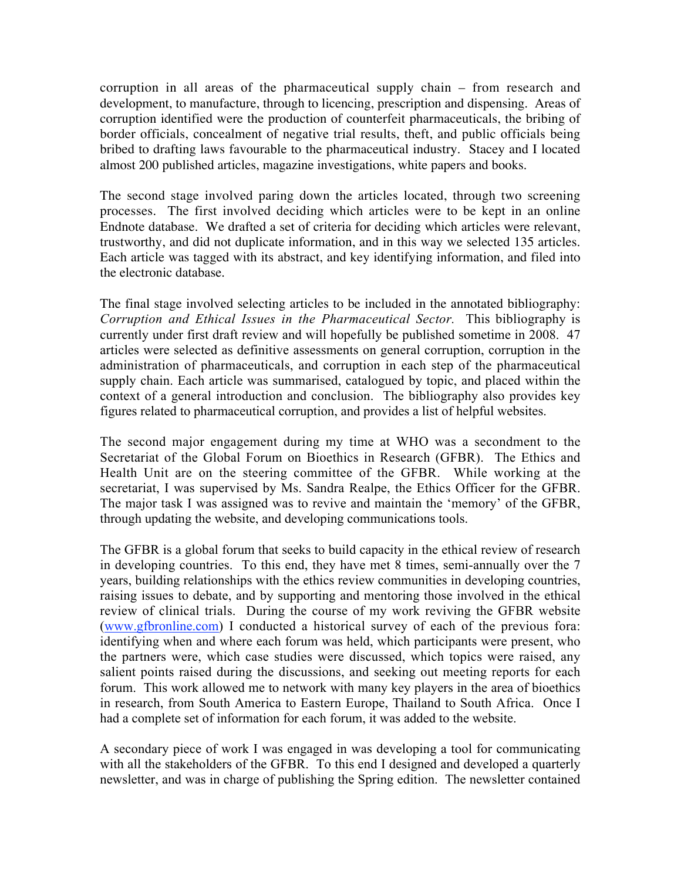corruption in all areas of the pharmaceutical supply chain – from research and development, to manufacture, through to licencing, prescription and dispensing. Areas of corruption identified were the production of counterfeit pharmaceuticals, the bribing of border officials, concealment of negative trial results, theft, and public officials being bribed to drafting laws favourable to the pharmaceutical industry. Stacey and I located almost 200 published articles, magazine investigations, white papers and books.

The second stage involved paring down the articles located, through two screening processes. The first involved deciding which articles were to be kept in an online Endnote database. We drafted a set of criteria for deciding which articles were relevant, trustworthy, and did not duplicate information, and in this way we selected 135 articles. Each article was tagged with its abstract, and key identifying information, and filed into the electronic database.

The final stage involved selecting articles to be included in the annotated bibliography: *Corruption and Ethical Issues in the Pharmaceutical Sector.* This bibliography is currently under first draft review and will hopefully be published sometime in 2008. 47 articles were selected as definitive assessments on general corruption, corruption in the administration of pharmaceuticals, and corruption in each step of the pharmaceutical supply chain. Each article was summarised, catalogued by topic, and placed within the context of a general introduction and conclusion. The bibliography also provides key figures related to pharmaceutical corruption, and provides a list of helpful websites.

The second major engagement during my time at WHO was a secondment to the Secretariat of the Global Forum on Bioethics in Research (GFBR). The Ethics and Health Unit are on the steering committee of the GFBR. While working at the secretariat, I was supervised by Ms. Sandra Realpe, the Ethics Officer for the GFBR. The major task I was assigned was to revive and maintain the 'memory' of the GFBR, through updating the website, and developing communications tools.

The GFBR is a global forum that seeks to build capacity in the ethical review of research in developing countries. To this end, they have met 8 times, semi-annually over the 7 years, building relationships with the ethics review communities in developing countries, raising issues to debate, and by supporting and mentoring those involved in the ethical review of clinical trials. During the course of my work reviving the GFBR website (www.gfbronline.com) I conducted a historical survey of each of the previous fora: identifying when and where each forum was held, which participants were present, who the partners were, which case studies were discussed, which topics were raised, any salient points raised during the discussions, and seeking out meeting reports for each forum. This work allowed me to network with many key players in the area of bioethics in research, from South America to Eastern Europe, Thailand to South Africa. Once I had a complete set of information for each forum, it was added to the website.

A secondary piece of work I was engaged in was developing a tool for communicating with all the stakeholders of the GFBR. To this end I designed and developed a quarterly newsletter, and was in charge of publishing the Spring edition. The newsletter contained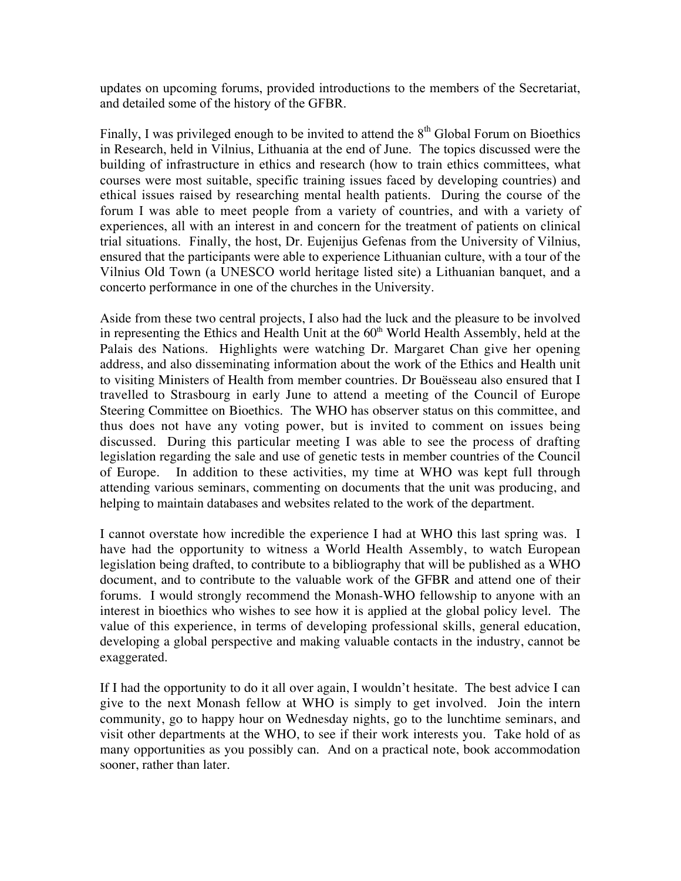updates on upcoming forums, provided introductions to the members of the Secretariat, and detailed some of the history of the GFBR.

Finally, I was privileged enough to be invited to attend the  $8<sup>th</sup>$  Global Forum on Bioethics in Research, held in Vilnius, Lithuania at the end of June. The topics discussed were the building of infrastructure in ethics and research (how to train ethics committees, what courses were most suitable, specific training issues faced by developing countries) and ethical issues raised by researching mental health patients. During the course of the forum I was able to meet people from a variety of countries, and with a variety of experiences, all with an interest in and concern for the treatment of patients on clinical trial situations. Finally, the host, Dr. Eujenijus Gefenas from the University of Vilnius, ensured that the participants were able to experience Lithuanian culture, with a tour of the Vilnius Old Town (a UNESCO world heritage listed site) a Lithuanian banquet, and a concerto performance in one of the churches in the University.

Aside from these two central projects, I also had the luck and the pleasure to be involved in representing the Ethics and Health Unit at the  $60<sup>th</sup>$  World Health Assembly, held at the Palais des Nations. Highlights were watching Dr. Margaret Chan give her opening address, and also disseminating information about the work of the Ethics and Health unit to visiting Ministers of Health from member countries. Dr Bouësseau also ensured that I travelled to Strasbourg in early June to attend a meeting of the Council of Europe Steering Committee on Bioethics. The WHO has observer status on this committee, and thus does not have any voting power, but is invited to comment on issues being discussed. During this particular meeting I was able to see the process of drafting legislation regarding the sale and use of genetic tests in member countries of the Council of Europe. In addition to these activities, my time at WHO was kept full through attending various seminars, commenting on documents that the unit was producing, and helping to maintain databases and websites related to the work of the department.

I cannot overstate how incredible the experience I had at WHO this last spring was. I have had the opportunity to witness a World Health Assembly, to watch European legislation being drafted, to contribute to a bibliography that will be published as a WHO document, and to contribute to the valuable work of the GFBR and attend one of their forums. I would strongly recommend the Monash-WHO fellowship to anyone with an interest in bioethics who wishes to see how it is applied at the global policy level. The value of this experience, in terms of developing professional skills, general education, developing a global perspective and making valuable contacts in the industry, cannot be exaggerated.

If I had the opportunity to do it all over again, I wouldn't hesitate. The best advice I can give to the next Monash fellow at WHO is simply to get involved. Join the intern community, go to happy hour on Wednesday nights, go to the lunchtime seminars, and visit other departments at the WHO, to see if their work interests you. Take hold of as many opportunities as you possibly can. And on a practical note, book accommodation sooner, rather than later.